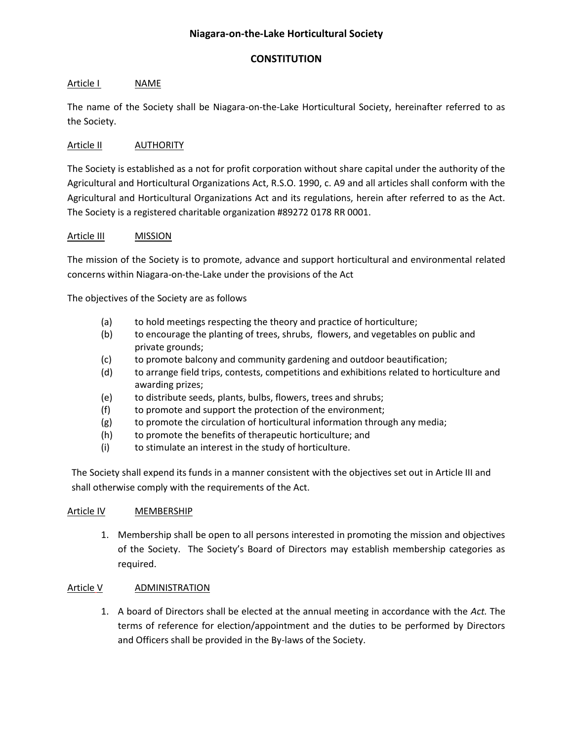# **Niagara-on-the-Lake Horticultural Society**

## **CONSTITUTION**

## Article I NAME

The name of the Society shall be Niagara-on-the-Lake Horticultural Society, hereinafter referred to as the Society.

## Article II AUTHORITY

The Society is established as a not for profit corporation without share capital under the authority of the Agricultural and Horticultural Organizations Act, R.S.O. 1990, c. A9 and all articles shall conform with the Agricultural and Horticultural Organizations Act and its regulations, herein after referred to as the Act. The Society is a registered charitable organization #89272 0178 RR 0001.

## Article III MISSION

The mission of the Society is to promote, advance and support horticultural and environmental related concerns within Niagara-on-the-Lake under the provisions of the Act

The objectives of the Society are as follows

- (a) to hold meetings respecting the theory and practice of horticulture;
- (b) to encourage the planting of trees, shrubs, flowers, and vegetables on public and private grounds;
- (c) to promote balcony and community gardening and outdoor beautification;
- (d) to arrange field trips, contests, competitions and exhibitions related to horticulture and awarding prizes;
- (e) to distribute seeds, plants, bulbs, flowers, trees and shrubs;
- (f) to promote and support the protection of the environment;
- (g) to promote the circulation of horticultural information through any media;
- (h) to promote the benefits of therapeutic horticulture; and
- (i) to stimulate an interest in the study of horticulture.

The Society shall expend its funds in a manner consistent with the objectives set out in Article III and shall otherwise comply with the requirements of the Act.

## Article IV MEMBERSHIP

1. Membership shall be open to all persons interested in promoting the mission and objectives of the Society. The Society's Board of Directors may establish membership categories as required.

## Article V ADMINISTRATION

1. A board of Directors shall be elected at the annual meeting in accordance with the *Act.* The terms of reference for election/appointment and the duties to be performed by Directors and Officers shall be provided in the By-laws of the Society.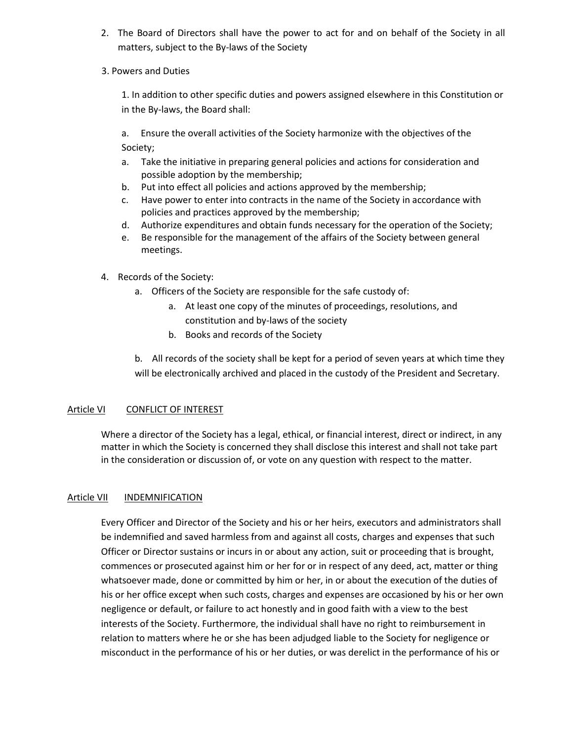- 2. The Board of Directors shall have the power to act for and on behalf of the Society in all matters, subject to the By-laws of the Society
- 3. Powers and Duties

1. In addition to other specific duties and powers assigned elsewhere in this Constitution or in the By-laws, the Board shall:

a. Ensure the overall activities of the Society harmonize with the objectives of the Society;

- a. Take the initiative in preparing general policies and actions for consideration and possible adoption by the membership;
- b. Put into effect all policies and actions approved by the membership;
- c. Have power to enter into contracts in the name of the Society in accordance with policies and practices approved by the membership;
- d. Authorize expenditures and obtain funds necessary for the operation of the Society;
- e. Be responsible for the management of the affairs of the Society between general meetings.
- 4. Records of the Society:
	- a. Officers of the Society are responsible for the safe custody of:
		- a. At least one copy of the minutes of proceedings, resolutions, and constitution and by-laws of the society
		- b. Books and records of the Society

b. All records of the society shall be kept for a period of seven years at which time they will be electronically archived and placed in the custody of the President and Secretary.

# Article VI CONFLICT OF INTEREST

Where a director of the Society has a legal, ethical, or financial interest, direct or indirect, in any matter in which the Society is concerned they shall disclose this interest and shall not take part in the consideration or discussion of, or vote on any question with respect to the matter.

## Article VII INDEMNIFICATION

Every Officer and Director of the Society and his or her heirs, executors and administrators shall be indemnified and saved harmless from and against all costs, charges and expenses that such Officer or Director sustains or incurs in or about any action, suit or proceeding that is brought, commences or prosecuted against him or her for or in respect of any deed, act, matter or thing whatsoever made, done or committed by him or her, in or about the execution of the duties of his or her office except when such costs, charges and expenses are occasioned by his or her own negligence or default, or failure to act honestly and in good faith with a view to the best interests of the Society. Furthermore, the individual shall have no right to reimbursement in relation to matters where he or she has been adjudged liable to the Society for negligence or misconduct in the performance of his or her duties, or was derelict in the performance of his or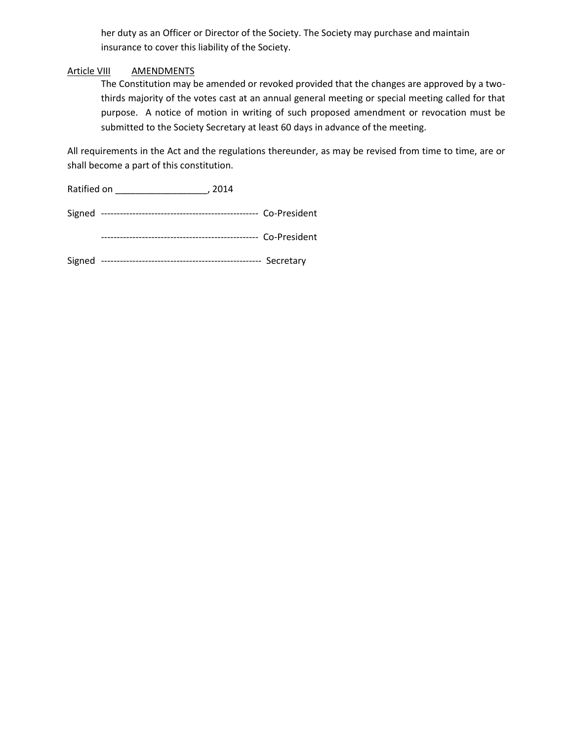her duty as an Officer or Director of the Society. The Society may purchase and maintain insurance to cover this liability of the Society.

### Article VIII AMENDMENTS

The Constitution may be amended or revoked provided that the changes are approved by a twothirds majority of the votes cast at an annual general meeting or special meeting called for that purpose. A notice of motion in writing of such proposed amendment or revocation must be submitted to the Society Secretary at least 60 days in advance of the meeting.

All requirements in the Act and the regulations thereunder, as may be revised from time to time, are or shall become a part of this constitution.

Ratified on \_\_\_\_\_\_\_\_\_\_\_\_\_\_\_\_\_\_, 2014

Signed -------------------------------------------------- Co-President

-------------------------------------------------- Co-President

Signed --------------------------------------------------- Secretary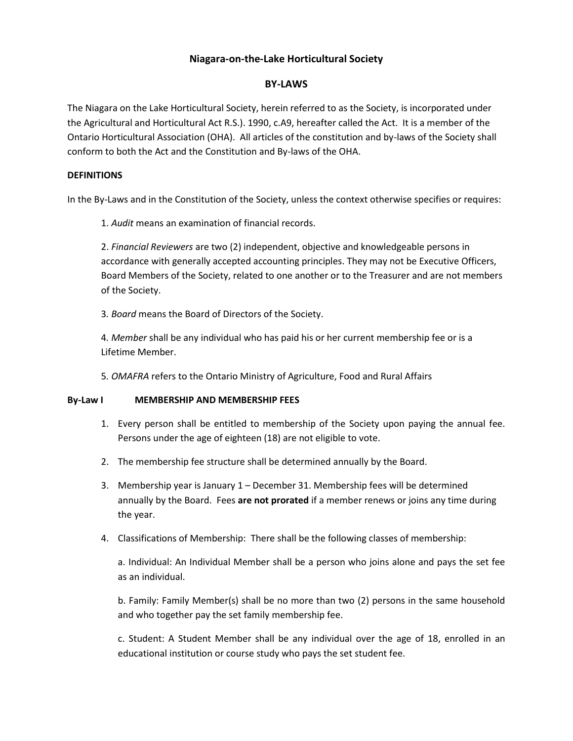# **Niagara-on-the-Lake Horticultural Society**

## **BY-LAWS**

The Niagara on the Lake Horticultural Society, herein referred to as the Society, is incorporated under the Agricultural and Horticultural Act R.S.). 1990, c.A9, hereafter called the Act. It is a member of the Ontario Horticultural Association (OHA). All articles of the constitution and by-laws of the Society shall conform to both the Act and the Constitution and By-laws of the OHA.

### **DEFINITIONS**

In the By-Laws and in the Constitution of the Society, unless the context otherwise specifies or requires:

1. *Audit* means an examination of financial records.

2. *Financial Reviewers* are two (2) independent, objective and knowledgeable persons in accordance with generally accepted accounting principles. They may not be Executive Officers, Board Members of the Society, related to one another or to the Treasurer and are not members of the Society.

3*. Board* means the Board of Directors of the Society.

4*. Member* shall be any individual who has paid his or her current membership fee or is a Lifetime Member.

5*. OMAFRA* refers to the Ontario Ministry of Agriculture, Food and Rural Affairs

#### **By-Law I MEMBERSHIP AND MEMBERSHIP FEES**

- 1. Every person shall be entitled to membership of the Society upon paying the annual fee. Persons under the age of eighteen (18) are not eligible to vote.
- 2. The membership fee structure shall be determined annually by the Board.
- 3. Membership year is January 1 December 31. Membership fees will be determined annually by the Board. Fees **are not prorated** if a member renews or joins any time during the year.
- 4. Classifications of Membership: There shall be the following classes of membership:

a. Individual: An Individual Member shall be a person who joins alone and pays the set fee as an individual.

b. Family: Family Member(s) shall be no more than two (2) persons in the same household and who together pay the set family membership fee.

c. Student: A Student Member shall be any individual over the age of 18, enrolled in an educational institution or course study who pays the set student fee.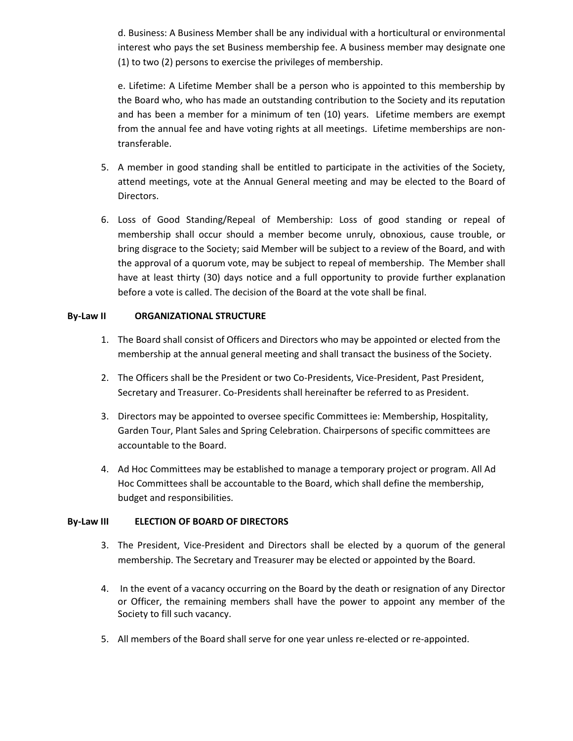d. Business: A Business Member shall be any individual with a horticultural or environmental interest who pays the set Business membership fee. A business member may designate one (1) to two (2) persons to exercise the privileges of membership.

e. Lifetime: A Lifetime Member shall be a person who is appointed to this membership by the Board who, who has made an outstanding contribution to the Society and its reputation and has been a member for a minimum of ten (10) years. Lifetime members are exempt from the annual fee and have voting rights at all meetings. Lifetime memberships are nontransferable.

- 5. A member in good standing shall be entitled to participate in the activities of the Society, attend meetings, vote at the Annual General meeting and may be elected to the Board of Directors.
- 6. Loss of Good Standing/Repeal of Membership: Loss of good standing or repeal of membership shall occur should a member become unruly, obnoxious, cause trouble, or bring disgrace to the Society; said Member will be subject to a review of the Board, and with the approval of a quorum vote, may be subject to repeal of membership. The Member shall have at least thirty (30) days notice and a full opportunity to provide further explanation before a vote is called. The decision of the Board at the vote shall be final.

## **By-Law II ORGANIZATIONAL STRUCTURE**

- 1. The Board shall consist of Officers and Directors who may be appointed or elected from the membership at the annual general meeting and shall transact the business of the Society.
- 2. The Officers shall be the President or two Co-Presidents, Vice-President, Past President, Secretary and Treasurer. Co-Presidents shall hereinafter be referred to as President.
- 3. Directors may be appointed to oversee specific Committees ie: Membership, Hospitality, Garden Tour, Plant Sales and Spring Celebration. Chairpersons of specific committees are accountable to the Board.
- 4. Ad Hoc Committees may be established to manage a temporary project or program. All Ad Hoc Committees shall be accountable to the Board, which shall define the membership, budget and responsibilities.

## **By-Law III ELECTION OF BOARD OF DIRECTORS**

- 3. The President, Vice-President and Directors shall be elected by a quorum of the general membership. The Secretary and Treasurer may be elected or appointed by the Board.
- 4. In the event of a vacancy occurring on the Board by the death or resignation of any Director or Officer, the remaining members shall have the power to appoint any member of the Society to fill such vacancy.
- 5. All members of the Board shall serve for one year unless re-elected or re-appointed.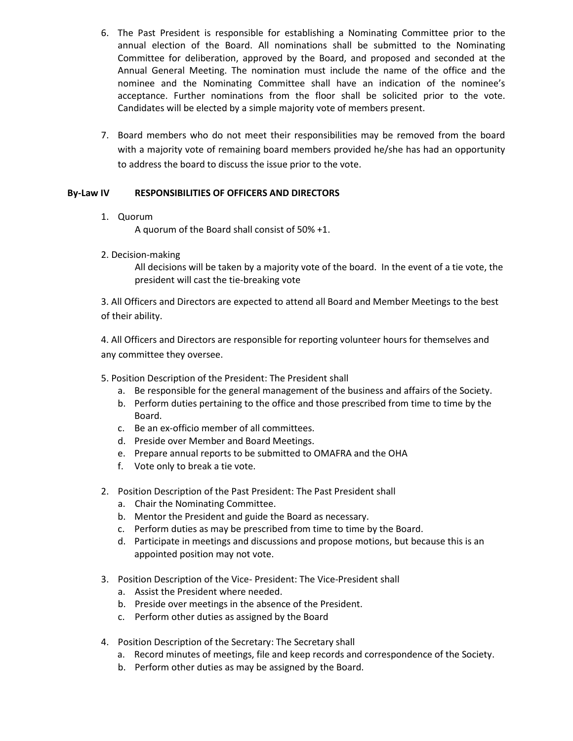- 6. The Past President is responsible for establishing a Nominating Committee prior to the annual election of the Board. All nominations shall be submitted to the Nominating Committee for deliberation, approved by the Board, and proposed and seconded at the Annual General Meeting. The nomination must include the name of the office and the nominee and the Nominating Committee shall have an indication of the nominee's acceptance. Further nominations from the floor shall be solicited prior to the vote. Candidates will be elected by a simple majority vote of members present.
- 7. Board members who do not meet their responsibilities may be removed from the board with a majority vote of remaining board members provided he/she has had an opportunity to address the board to discuss the issue prior to the vote.

# **By-Law IV RESPONSIBILITIES OF OFFICERS AND DIRECTORS**

1. Quorum

A quorum of the Board shall consist of 50% +1.

2. Decision-making

All decisions will be taken by a majority vote of the board. In the event of a tie vote, the president will cast the tie-breaking vote

3. All Officers and Directors are expected to attend all Board and Member Meetings to the best of their ability.

4. All Officers and Directors are responsible for reporting volunteer hours for themselves and any committee they oversee.

5. Position Description of the President: The President shall

- a. Be responsible for the general management of the business and affairs of the Society.
- b. Perform duties pertaining to the office and those prescribed from time to time by the Board.
- c. Be an ex-officio member of all committees.
- d. Preside over Member and Board Meetings.
- e. Prepare annual reports to be submitted to OMAFRA and the OHA
- f. Vote only to break a tie vote.
- 2. Position Description of the Past President: The Past President shall
	- a. Chair the Nominating Committee.
	- b. Mentor the President and guide the Board as necessary.
	- c. Perform duties as may be prescribed from time to time by the Board.
	- d. Participate in meetings and discussions and propose motions, but because this is an appointed position may not vote.
- 3. Position Description of the Vice- President: The Vice-President shall
	- a. Assist the President where needed.
	- b. Preside over meetings in the absence of the President.
	- c. Perform other duties as assigned by the Board
- 4. Position Description of the Secretary: The Secretary shall
	- a. Record minutes of meetings, file and keep records and correspondence of the Society.
	- b. Perform other duties as may be assigned by the Board.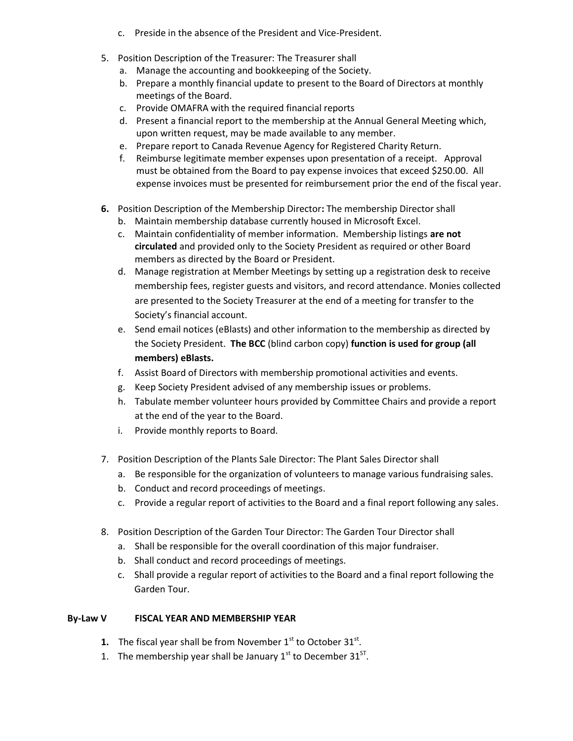- c. Preside in the absence of the President and Vice-President.
- 5. Position Description of the Treasurer: The Treasurer shall
	- a. Manage the accounting and bookkeeping of the Society.
	- b. Prepare a monthly financial update to present to the Board of Directors at monthly meetings of the Board.
	- c. Provide OMAFRA with the required financial reports
	- d. Present a financial report to the membership at the Annual General Meeting which, upon written request, may be made available to any member.
	- e. Prepare report to Canada Revenue Agency for Registered Charity Return.
	- f. Reimburse legitimate member expenses upon presentation of a receipt. Approval must be obtained from the Board to pay expense invoices that exceed \$250.00. All expense invoices must be presented for reimbursement prior the end of the fiscal year.
- **6.** Position Description of the Membership Director**:** The membership Director shall
	- b. Maintain membership database currently housed in Microsoft Excel.
	- c. Maintain confidentiality of member information. Membership listings **are not circulated** and provided only to the Society President as required or other Board members as directed by the Board or President.
	- d. Manage registration at Member Meetings by setting up a registration desk to receive membership fees, register guests and visitors, and record attendance. Monies collected are presented to the Society Treasurer at the end of a meeting for transfer to the Society's financial account.
	- e. Send email notices (eBlasts) and other information to the membership as directed by the Society President. **The BCC** (blind carbon copy) **function is used for group (all members) eBlasts.**
	- f. Assist Board of Directors with membership promotional activities and events.
	- g. Keep Society President advised of any membership issues or problems.
	- h. Tabulate member volunteer hours provided by Committee Chairs and provide a report at the end of the year to the Board.
	- i. Provide monthly reports to Board.
- 7. Position Description of the Plants Sale Director: The Plant Sales Director shall
	- a. Be responsible for the organization of volunteers to manage various fundraising sales.
	- b. Conduct and record proceedings of meetings.
	- c. Provide a regular report of activities to the Board and a final report following any sales.
- 8. Position Description of the Garden Tour Director: The Garden Tour Director shall
	- a. Shall be responsible for the overall coordination of this major fundraiser.
	- b. Shall conduct and record proceedings of meetings.
	- c. Shall provide a regular report of activities to the Board and a final report following the Garden Tour.

## **By-Law V FISCAL YEAR AND MEMBERSHIP YEAR**

- **1.** The fiscal year shall be from November  $1<sup>st</sup>$  to October  $31<sup>st</sup>$ .
- 1. The membership year shall be January  $1<sup>st</sup>$  to December  $31<sup>ST</sup>$ .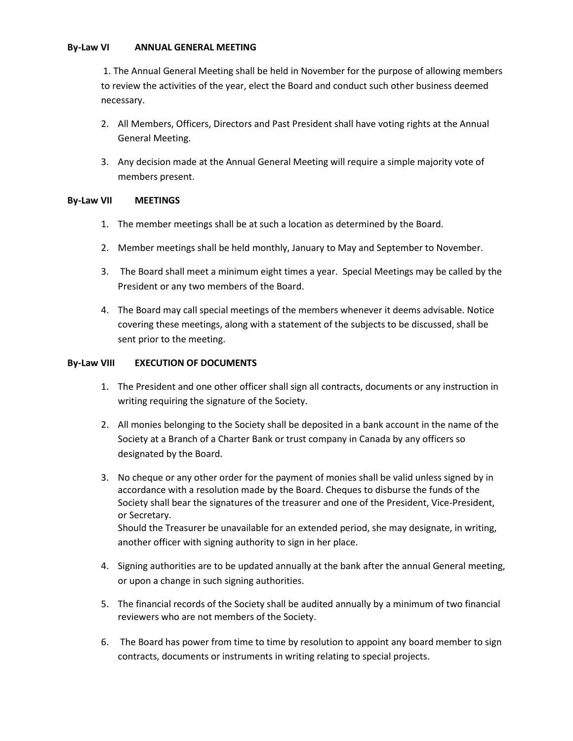#### **By-Law VI ANNUAL GENERAL MEETING**

1. The Annual General Meeting shall be held in November for the purpose of allowing members to review the activities of the year, elect the Board and conduct such other business deemed necessary.

- 2. All Members, Officers, Directors and Past President shall have voting rights at the Annual General Meeting.
- 3. Any decision made at the Annual General Meeting will require a simple majority vote of members present.

## **By-Law VII MEETINGS**

- 1. The member meetings shall be at such a location as determined by the Board.
- 2. Member meetings shall be held monthly, January to May and September to November.
- 3. The Board shall meet a minimum eight times a year. Special Meetings may be called by the President or any two members of the Board.
- 4. The Board may call special meetings of the members whenever it deems advisable. Notice covering these meetings, along with a statement of the subjects to be discussed, shall be sent prior to the meeting.

## **By-Law VIII EXECUTION OF DOCUMENTS**

- 1. The President and one other officer shall sign all contracts, documents or any instruction in writing requiring the signature of the Society.
- 2. All monies belonging to the Society shall be deposited in a bank account in the name of the Society at a Branch of a Charter Bank or trust company in Canada by any officers so designated by the Board.
- 3. No cheque or any other order for the payment of monies shall be valid unless signed by in accordance with a resolution made by the Board. Cheques to disburse the funds of the Society shall bear the signatures of the treasurer and one of the President, Vice-President, or Secretary. Should the Treasurer be unavailable for an extended period, she may designate, in writing, another officer with signing authority to sign in her place.
- 4. Signing authorities are to be updated annually at the bank after the annual General meeting, or upon a change in such signing authorities.
- 5. The financial records of the Society shall be audited annually by a minimum of two financial reviewers who are not members of the Society.
- 6. The Board has power from time to time by resolution to appoint any board member to sign contracts, documents or instruments in writing relating to special projects.